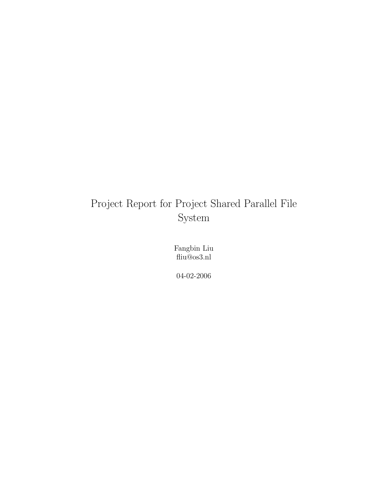# Project Report for Project Shared Parallel File System

Fangbin Liu fliu@os3.nl

04-02-2006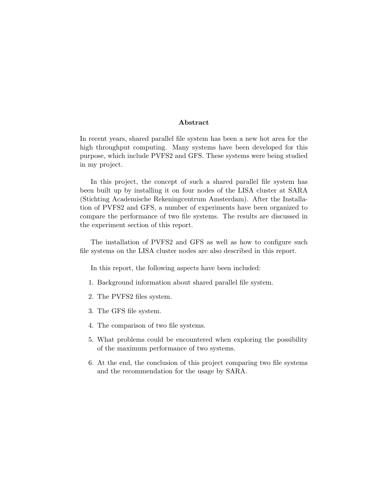#### Abstract

In recent years, shared parallel file system has been a new hot area for the high throughput computing. Many systems have been developed for this purpose, which include PVFS2 and GFS. These systems were being studied in my project.

In this project, the concept of such a shared parallel file system has been built up by installing it on four nodes of the LISA cluster at SARA (Stichting Academische Rekeningcentrum Amsterdam). After the Installation of PVFS2 and GFS, a number of experiments have been organized to compare the performance of two file systems. The results are discussed in the experiment section of this report.

The installation of PVFS2 and GFS as well as how to configure such file systems on the LISA cluster nodes are also described in this report.

In this report, the following aspects have been included:

- 1. Background information about shared parallel file system.
- 2. The PVFS2 files system.
- 3. The GFS file system.
- 4. The comparison of two file systems.
- 5. What problems could be encountered when exploring the possibility of the maximum performance of two systems.
- 6. At the end, the conclusion of this project comparing two file systems and the recommendation for the usage by SARA.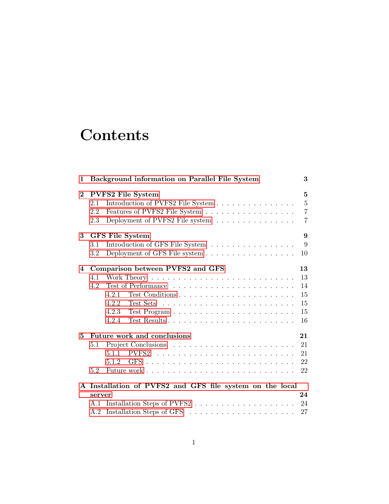# **Contents**

| 1        | Background information on Parallel File System                                                   | 3              |
|----------|--------------------------------------------------------------------------------------------------|----------------|
| $\bf{2}$ | PVFS2 File System                                                                                | $\overline{5}$ |
|          | Introduction of PVFS2 File System<br>2.1                                                         | $\overline{5}$ |
|          | 2.2<br>Features of PVFS2 File System $\hfill\ldots\ldots\ldots\ldots\ldots\ldots\ldots\ldots$    | $\overline{7}$ |
|          | Deployment of PVFS2 File system $\;\ldots\; \ldots\; \ldots\; \ldots\; \ldots\; \ldots\;$<br>2.3 | $\overline{7}$ |
| 3        | <b>GFS</b> File System                                                                           | 9              |
|          | Introduction of GFS File System<br>3.1                                                           | 9              |
|          | Deployment of GFS File system<br>$3.2\,$                                                         | 10             |
| 4        | Comparison between PVFS2 and GFS                                                                 | 13             |
|          | 4.1                                                                                              | 13             |
|          | 4.2                                                                                              | 14             |
|          | 4.2.1                                                                                            | 15             |
|          | 4.2.2                                                                                            | 15             |
|          | 4.2.3                                                                                            | 15             |
|          | 4.2.4                                                                                            | 16             |
| 5        | Future work and conclusions                                                                      | 21             |
|          | 5.1                                                                                              | 21             |
|          | 5.1.1                                                                                            | 21             |
|          |                                                                                                  | 22             |
|          | 5.2                                                                                              | 22             |
|          | A Installation of PVFS2 and GFS file system on the local                                         |                |
|          | server                                                                                           | 24             |
|          |                                                                                                  | 24             |
|          | A.2                                                                                              | 27             |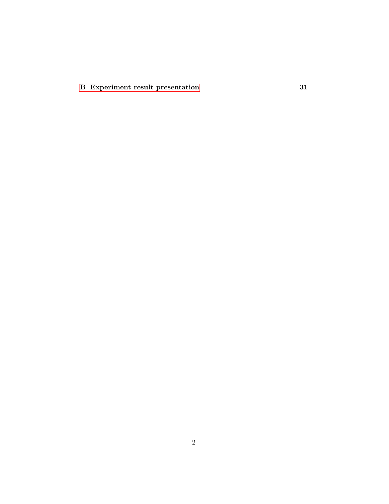[B Experiment result presentation](#page-32-0) 31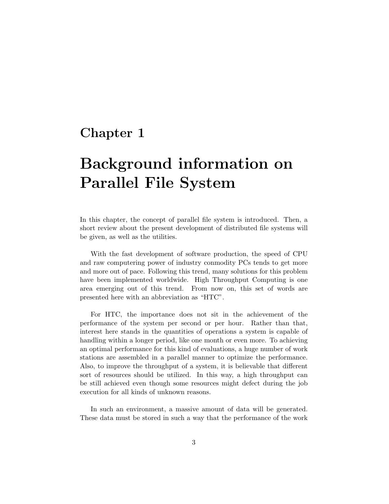## <span id="page-4-0"></span>Chapter 1

# Background information on Parallel File System

In this chapter, the concept of parallel file system is introduced. Then, a short review about the present development of distributed file systems will be given, as well as the utilities.

With the fast development of software production, the speed of CPU and raw computering power of industry conmodity PCs tends to get more and more out of pace. Following this trend, many solutions for this problem have been implemented worldwide. High Throughput Computing is one area emerging out of this trend. From now on, this set of words are presented here with an abbreviation as "HTC".

For HTC, the importance does not sit in the achievement of the performance of the system per second or per hour. Rather than that, interest here stands in the quantities of operations a system is capable of handling within a longer period, like one month or even more. To achieving an optimal performance for this kind of evaluations, a huge number of work stations are assembled in a parallel manner to optimize the performance. Also, to improve the throughput of a system, it is believable that different sort of resources should be utilized. In this way, a high throughput can be still achieved even though some resources might defect during the job execution for all kinds of unknown reasons.

In such an environment, a massive amount of data will be generated. These data must be stored in such a way that the performance of the work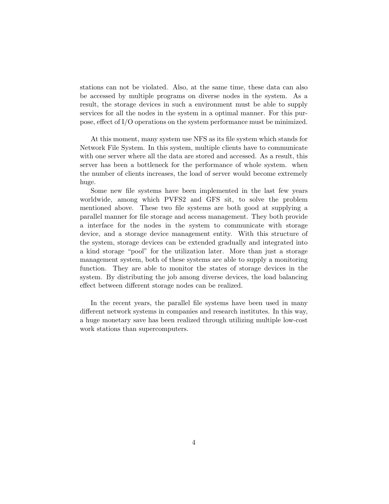stations can not be violated. Also, at the same time, these data can also be accessed by multiple programs on diverse nodes in the system. As a result, the storage devices in such a environment must be able to supply services for all the nodes in the system in a optimal manner. For this purpose, effect of I/O operations on the system performance must be minimized.

At this moment, many system use NFS as its file system which stands for Network File System. In this system, multiple clients have to communicate with one server where all the data are stored and accessed. As a result, this server has been a bottleneck for the performance of whole system. when the number of clients increases, the load of server would become extremely huge.

Some new file systems have been implemented in the last few years worldwide, among which PVFS2 and GFS sit, to solve the problem mentioned above. These two file systems are both good at supplying a parallel manner for file storage and access management. They both provide a interface for the nodes in the system to communicate with storage device, and a storage device management entity. With this structure of the system, storage devices can be extended gradually and integrated into a kind storage "pool" for the utilization later. More than just a storage management system, both of these systems are able to supply a monitoring function. They are able to monitor the states of storage devices in the system. By distributing the job among diverse devices, the load balancing effect between different storage nodes can be realized.

In the recent years, the parallel file systems have been used in many different network systems in companies and research institutes. In this way, a huge monetary save has been realized through utilizing multiple low-cost work stations than supercomputers.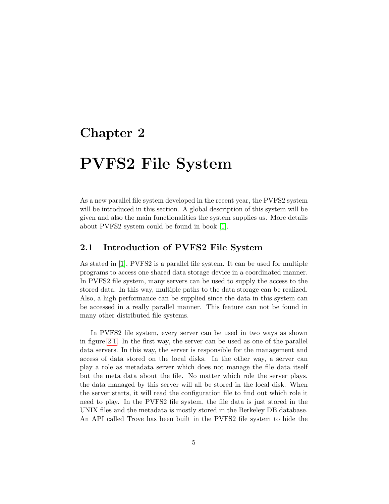## <span id="page-6-0"></span>Chapter 2

# PVFS2 File System

As a new parallel file system developed in the recent year, the PVFS2 system will be introduced in this section. A global description of this system will be given and also the main functionalities the system supplies us. More details about PVFS2 system could be found in book [\[1\]](#page-38-0).

### <span id="page-6-1"></span>2.1 Introduction of PVFS2 File System

As stated in [\[1\]](#page-38-0), PVFS2 is a parallel file system. It can be used for multiple programs to access one shared data storage device in a coordinated manner. In PVFS2 file system, many servers can be used to supply the access to the stored data. In this way, multiple paths to the data storage can be realized. Also, a high performance can be supplied since the data in this system can be accessed in a really parallel manner. This feature can not be found in many other distributed file systems.

In PVFS2 file system, every server can be used in two ways as shown in figure [2.1.](#page-7-0) In the first way, the server can be used as one of the parallel data servers. In this way, the server is responsible for the management and access of data stored on the local disks. In the other way, a server can play a role as metadata server which does not manage the file data itself but the meta data about the file. No matter which role the server plays, the data managed by this server will all be stored in the local disk. When the server starts, it will read the configuration file to find out which role it need to play. In the PVFS2 file system, the file data is just stored in the UNIX files and the metadata is mostly stored in the Berkeley DB database. An API called Trove has been built in the PVFS2 file system to hide the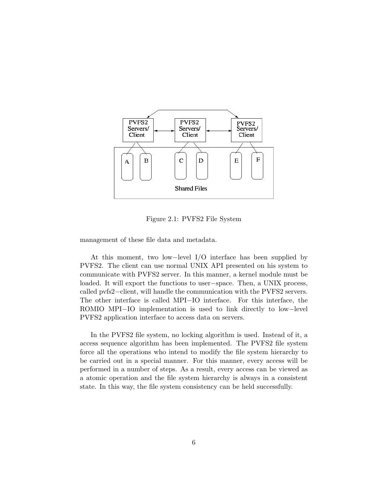

<span id="page-7-0"></span>Figure 2.1: PVFS2 File System

management of these file data and metadata.

At this moment, two low−level I/O interface has been supplied by PVFS2. The client can use normal UNIX API presented on his system to communicate with PVFS2 server. In this manner, a kernel module must be loaded. It will export the functions to user−space. Then, a UNIX process, called pvfs2−client, will handle the communication with the PVFS2 servers. The other interface is called MPI−IO interface. For this interface, the ROMIO MPI−IO implementation is used to link directly to low−level PVFS2 application interface to access data on servers.

In the PVFS2 file system, no locking algorithm is used. Instead of it, a access sequence algorithm has been implemented. The PVFS2 file system force all the operations who intend to modify the file system hierarchy to be carried out in a special manner. For this manner, every access will be performed in a number of steps. As a result, every access can be viewed as a atomic operation and the file system hierarchy is always in a consistent state. In this way, the file system consistency can be held successfully.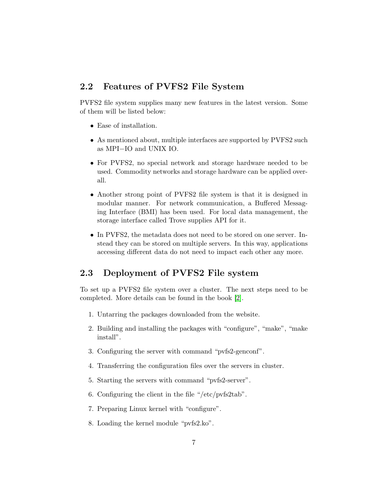## <span id="page-8-0"></span>2.2 Features of PVFS2 File System

PVFS2 file system supplies many new features in the latest version. Some of them will be listed below:

- Ease of installation.
- As mentioned about, multiple interfaces are supported by PVFS2 such as MPI−IO and UNIX IO.
- For PVFS2, no special network and storage hardware needed to be used. Commodity networks and storage hardware can be applied overall.
- Another strong point of PVFS2 file system is that it is designed in modular manner. For network communication, a Buffered Messaging Interface (BMI) has been used. For local data management, the storage interface called Trove supplies API for it.
- In PVFS2, the metadata does not need to be stored on one server. Instead they can be stored on multiple servers. In this way, applications accessing different data do not need to impact each other any more.

### <span id="page-8-1"></span>2.3 Deployment of PVFS2 File system

To set up a PVFS2 file system over a cluster. The next steps need to be completed. More details can be found in the book [\[2\]](#page-38-1).

- 1. Untarring the packages downloaded from the website.
- 2. Building and installing the packages with "configure", "make", "make install".
- 3. Configuring the server with command "pvfs2-genconf".
- 4. Transferring the configuration files over the servers in cluster.
- 5. Starting the servers with command "pvfs2-server".
- 6. Configuring the client in the file "/etc/pvfs2tab".
- 7. Preparing Linux kernel with "configure".
- 8. Loading the kernel module "pvfs2.ko".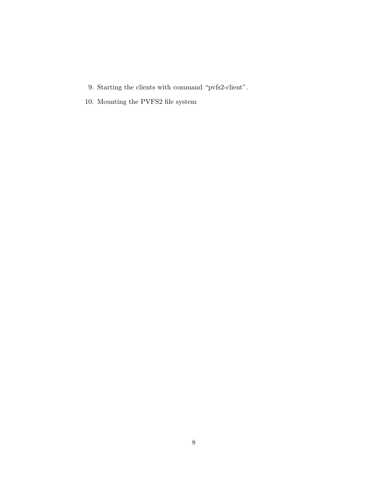- 9. Starting the clients with command "pvfs2-client".
- 10. Mounting the PVFS2 file system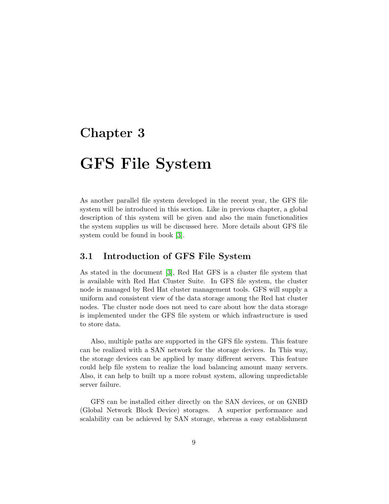## <span id="page-10-0"></span>Chapter 3

# GFS File System

As another parallel file system developed in the recent year, the GFS file system will be introduced in this section. Like in previous chapter, a global description of this system will be given and also the main functionalities the system supplies us will be discussed here. More details about GFS file system could be found in book [\[3\]](#page-38-2).

### <span id="page-10-1"></span>3.1 Introduction of GFS File System

As stated in the document [\[3\]](#page-38-2), Red Hat GFS is a cluster file system that is available with Red Hat Cluster Suite. In GFS file system, the cluster node is managed by Red Hat cluster management tools. GFS will supply a uniform and consistent view of the data storage among the Red hat cluster nodes. The cluster node does not need to care about how the data storage is implemented under the GFS file system or which infrastructure is used to store data.

Also, multiple paths are supported in the GFS file system. This feature can be realized with a SAN network for the storage devices. In This way, the storage devices can be applied by many different servers. This feature could help file system to realize the load balancing amount many servers. Also, it can help to built up a more robust system, allowing unpredictable server failure.

GFS can be installed either directly on the SAN devices, or on GNBD (Global Network Block Device) storages. A superior performance and scalability can be achieved by SAN storage, whereas a easy establishment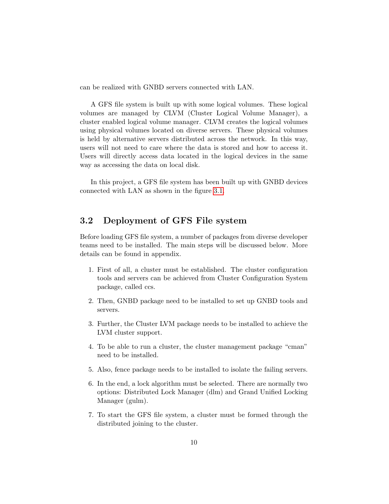can be realized with GNBD servers connected with LAN.

A GFS file system is built up with some logical volumes. These logical volumes are managed by CLVM (Cluster Logical Volume Manager), a cluster enabled logical volume manager. CLVM creates the logical volumes using physical volumes located on diverse servers. These physical volumes is held by alternative servers distributed across the network. In this way, users will not need to care where the data is stored and how to access it. Users will directly access data located in the logical devices in the same way as accessing the data on local disk.

In this project, a GFS file system has been built up with GNBD devices connected with LAN as shown in the figure [3.1.](#page-12-0)

### <span id="page-11-0"></span>3.2 Deployment of GFS File system

Before loading GFS file system, a number of packages from diverse developer teams need to be installed. The main steps will be discussed below. More details can be found in appendix.

- 1. First of all, a cluster must be established. The cluster configuration tools and servers can be achieved from Cluster Configuration System package, called ccs.
- 2. Then, GNBD package need to be installed to set up GNBD tools and servers.
- 3. Further, the Cluster LVM package needs to be installed to achieve the LVM cluster support.
- 4. To be able to run a cluster, the cluster management package "cman" need to be installed.
- 5. Also, fence package needs to be installed to isolate the failing servers.
- 6. In the end, a lock algorithm must be selected. There are normally two options: Distributed Lock Manager (dlm) and Grand Unified Locking Manager (gulm).
- 7. To start the GFS file system, a cluster must be formed through the distributed joining to the cluster.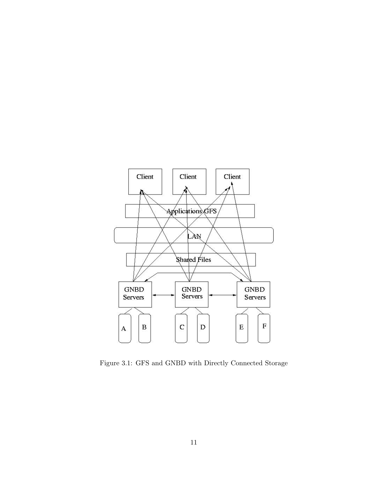

<span id="page-12-0"></span>Figure 3.1: GFS and GNBD with Directly Connected Storage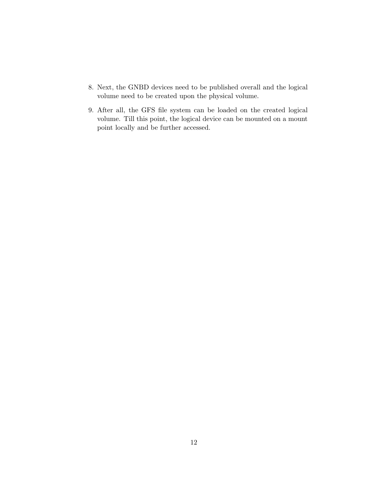- 8. Next, the GNBD devices need to be published overall and the logical volume need to be created upon the physical volume.
- 9. After all, the GFS file system can be loaded on the created logical volume. Till this point, the logical device can be mounted on a mount point locally and be further accessed.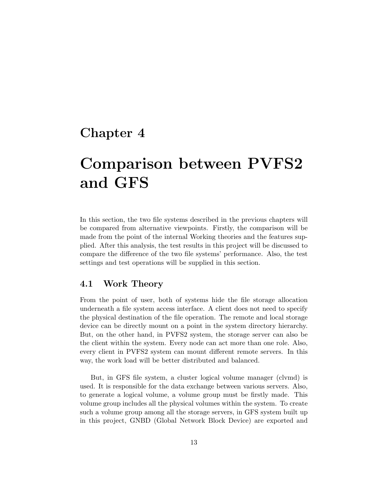## <span id="page-14-0"></span>Chapter 4

# Comparison between PVFS2 and GFS

In this section, the two file systems described in the previous chapters will be compared from alternative viewpoints. Firstly, the comparison will be made from the point of the internal Working theories and the features supplied. After this analysis, the test results in this project will be discussed to compare the difference of the two file systems' performance. Also, the test settings and test operations will be supplied in this section.

### <span id="page-14-1"></span>4.1 Work Theory

From the point of user, both of systems hide the file storage allocation underneath a file system access interface. A client does not need to specify the physical destination of the file operation. The remote and local storage device can be directly mount on a point in the system directory hierarchy. But, on the other hand, in PVFS2 system, the storage server can also be the client within the system. Every node can act more than one role. Also, every client in PVFS2 system can mount different remote servers. In this way, the work load will be better distributed and balanced.

But, in GFS file system, a cluster logical volume manager (clvmd) is used. It is responsible for the data exchange between various servers. Also, to generate a logical volume, a volume group must be firstly made. This volume group includes all the physical volumes within the system. To create such a volume group among all the storage servers, in GFS system built up in this project, GNBD (Global Network Block Device) are exported and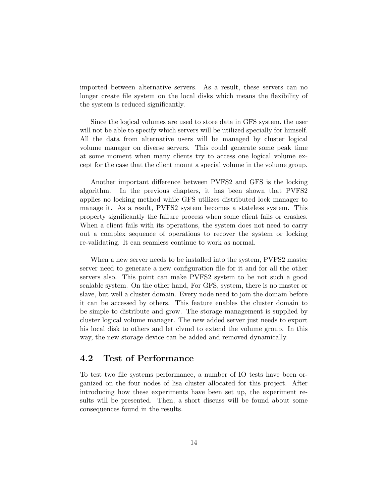imported between alternative servers. As a result, these servers can no longer create file system on the local disks which means the flexibility of the system is reduced significantly.

Since the logical volumes are used to store data in GFS system, the user will not be able to specify which servers will be utilized specially for himself. All the data from alternative users will be managed by cluster logical volume manager on diverse servers. This could generate some peak time at some moment when many clients try to access one logical volume except for the case that the client mount a special volume in the volume group.

Another important difference between PVFS2 and GFS is the locking algorithm. In the previous chapters, it has been shown that PVFS2 applies no locking method while GFS utilizes distributed lock manager to manage it. As a result, PVFS2 system becomes a stateless system. This property significantly the failure process when some client fails or crashes. When a client fails with its operations, the system does not need to carry out a complex sequence of operations to recover the system or locking re-validating. It can seamless continue to work as normal.

When a new server needs to be installed into the system, PVFS2 master server need to generate a new configuration file for it and for all the other servers also. This point can make PVFS2 system to be not such a good scalable system. On the other hand, For GFS, system, there is no master or slave, but well a cluster domain. Every node need to join the domain before it can be accessed by others. This feature enables the cluster domain to be simple to distribute and grow. The storage management is supplied by cluster logical volume manager. The new added server just needs to export his local disk to others and let clvmd to extend the volume group. In this way, the new storage device can be added and removed dynamically.

### <span id="page-15-0"></span>4.2 Test of Performance

To test two file systems performance, a number of IO tests have been organized on the four nodes of lisa cluster allocated for this project. After introducing how these experiments have been set up, the experiment results will be presented. Then, a short discuss will be found about some consequences found in the results.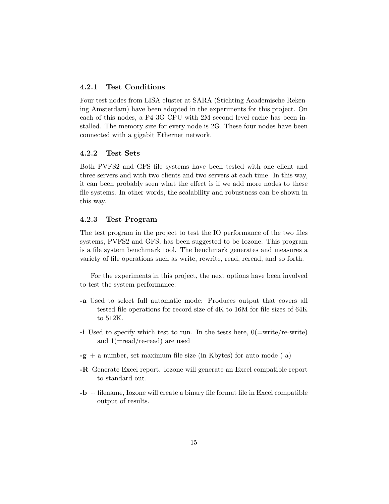#### <span id="page-16-0"></span>4.2.1 Test Conditions

Four test nodes from LISA cluster at SARA (Stichting Academische Rekening Amsterdam) have been adopted in the experiments for this project. On each of this nodes, a P4 3G CPU with 2M second level cache has been installed. The memory size for every node is 2G. These four nodes have been connected with a gigabit Ethernet network.

#### <span id="page-16-1"></span>4.2.2 Test Sets

Both PVFS2 and GFS file systems have been tested with one client and three servers and with two clients and two servers at each time. In this way, it can been probably seen what the effect is if we add more nodes to these file systems. In other words, the scalability and robustness can be shown in this way.

#### <span id="page-16-2"></span>4.2.3 Test Program

The test program in the project to test the IO performance of the two files systems, PVFS2 and GFS, has been suggested to be Iozone. This program is a file system benchmark tool. The benchmark generates and measures a variety of file operations such as write, rewrite, read, reread, and so forth.

For the experiments in this project, the next options have been involved to test the system performance:

- -a Used to select full automatic mode: Produces output that covers all tested file operations for record size of 4K to 16M for file sizes of 64K to 512K.
- -i Used to specify which test to run. In the tests here,  $0(=\text{write}/\text{re-write})$ and 1(=read/re-read) are used
- $-g + a$  number, set maximum file size (in Kbytes) for auto mode  $(-a)$
- -R Generate Excel report. Iozone will generate an Excel compatible report to standard out.
- $-b$  + filename, Iozone will create a binary file format file in Excel compatible output of results.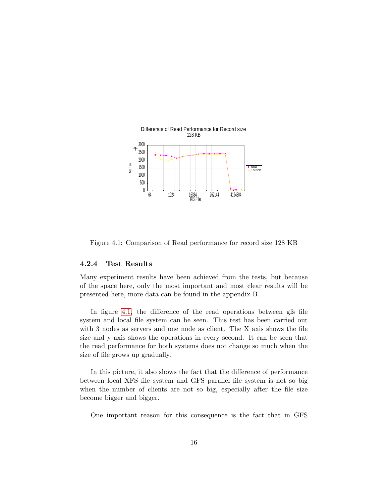

<span id="page-17-1"></span>Figure 4.1: Comparison of Read performance for record size 128 KB

#### <span id="page-17-0"></span>4.2.4 Test Results

Many experiment results have been achieved from the tests, but because of the space here, only the most important and most clear results will be presented here, more data can be found in the appendix B.

In figure [4.1,](#page-17-1) the difference of the read operations between gfs file system and local file system can be seen. This test has been carried out with 3 nodes as servers and one node as client. The X axis shows the file size and y axis shows the operations in every second. It can be seen that the read performance for both systems does not change so much when the size of file grows up gradually.

In this picture, it also shows the fact that the difference of performance between local XFS file system and GFS parallel file system is not so big when the number of clients are not so big, especially after the file size become bigger and bigger.

One important reason for this consequence is the fact that in GFS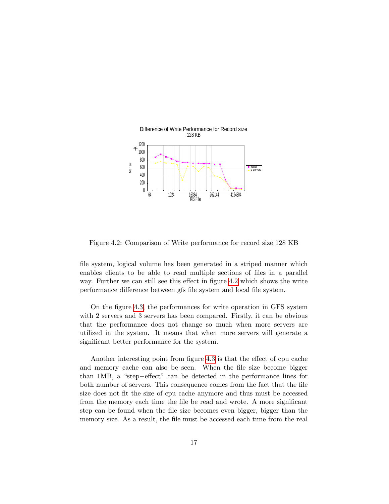

<span id="page-18-0"></span>Figure 4.2: Comparison of Write performance for record size 128 KB

file system, logical volume has been generated in a striped manner which enables clients to be able to read multiple sections of files in a parallel way. Further we can still see this effect in figure [4.2](#page-18-0) which shows the write performance difference between gfs file system and local file system.

On the figure [4.3,](#page-19-0) the performances for write operation in GFS system with 2 servers and 3 servers has been compared. Firstly, it can be obvious that the performance does not change so much when more servers are utilized in the system. It means that when more servers will generate a significant better performance for the system.

Another interesting point from figure [4.3](#page-19-0) is that the effect of cpu cache and memory cache can also be seen. When the file size become bigger than 1MB, a "step−effect" can be detected in the performance lines for both number of servers. This consequence comes from the fact that the file size does not fit the size of cpu cache anymore and thus must be accessed from the memory each time the file be read and wrote. A more significant step can be found when the file size becomes even bigger, bigger than the memory size. As a result, the file must be accessed each time from the real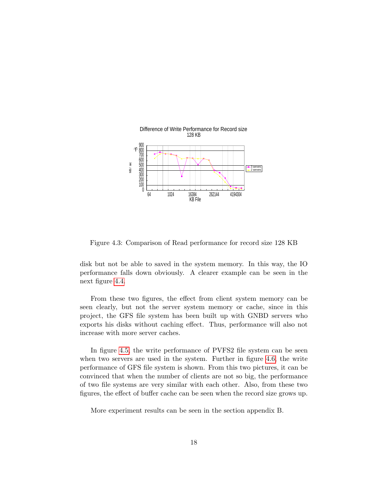

<span id="page-19-0"></span>Figure 4.3: Comparison of Read performance for record size 128 KB

disk but not be able to saved in the system memory. In this way, the IO performance falls down obviously. A clearer example can be seen in the next figure [4.4.](#page-20-0)

From these two figures, the effect from client system memory can be seen clearly, but not the server system memory or cache, since in this project, the GFS file system has been built up with GNBD servers who exports his disks without caching effect. Thus, performance will also not increase with more server caches.

In figure [4.5,](#page-20-1) the write performance of PVFS2 file system can be seen when two servers are used in the system. Further in figure [4.6,](#page-21-0) the write performance of GFS file system is shown. From this two pictures, it can be convinced that when the number of clients are not so big, the performance of two file systems are very similar with each other. Also, from these two figures, the effect of buffer cache can be seen when the record size grows up.

More experiment results can be seen in the section appendix B.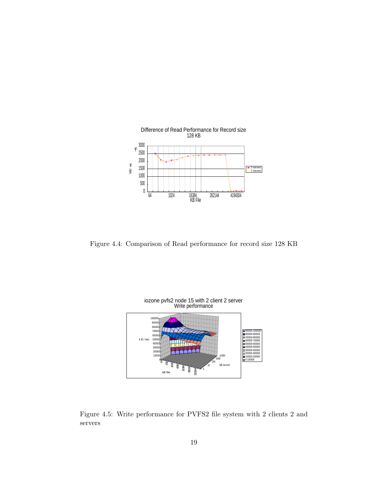

<span id="page-20-0"></span>Figure 4.4: Comparison of Read performance for record size 128 KB



<span id="page-20-1"></span>Figure 4.5: Write performance for PVFS2 file system with 2 clients 2 and servers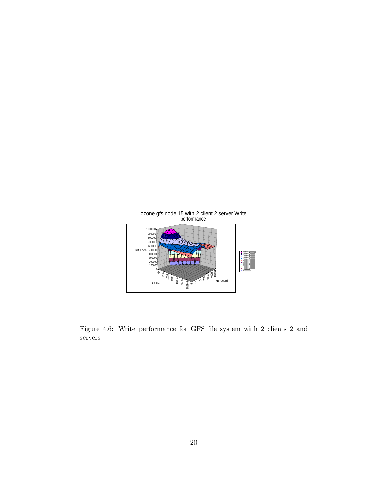

<span id="page-21-0"></span>Figure 4.6: Write performance for GFS file system with 2 clients 2 and servers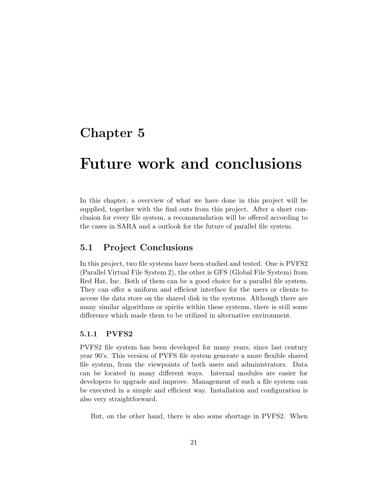## <span id="page-22-0"></span>Chapter 5

# Future work and conclusions

In this chapter, a overview of what we have done in this project will be supplied, together with the find outs from this project. After a short conclusion for every file system, a recommendation will be offered according to the cases in SARA and a outlook for the future of parallel file system.

### <span id="page-22-1"></span>5.1 Project Conclusions

In this project, two file systems have been studied and tested. One is PVFS2 (Parallel Virtual File System 2), the other is GFS (Global File System) from Red Hat, Inc. Both of them can be a good choice for a parallel file system. They can offer a uniform and efficient interface for the users or clients to access the data store on the shared disk in the systems. Although there are many similar algorithms or spirits within these systems, there is still some difference which made them to be utilized in alternative environment.

#### <span id="page-22-2"></span>5.1.1 PVFS2

PVFS2 file system has been developed for many years, since last century year 90's. This version of PVFS file system generate a more flexible shared file system, from the viewpoints of both users and administrators. Data can be located in many different ways. Internal modules are easier for developers to upgrade and improve. Management of such a file system can be executed in a simple and efficient way. Installation and configuration is also very straightforward.

But, on the other hand, there is also some shortage in PVFS2. When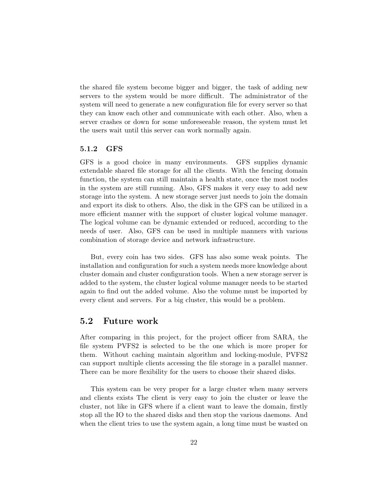the shared file system become bigger and bigger, the task of adding new servers to the system would be more difficult. The administrator of the system will need to generate a new configuration file for every server so that they can know each other and communicate with each other. Also, when a server crashes or down for some unforeseeable reason, the system must let the users wait until this server can work normally again.

#### <span id="page-23-0"></span>5.1.2 GFS

GFS is a good choice in many environments. GFS supplies dynamic extendable shared file storage for all the clients. With the fencing domain function, the system can still maintain a health state, once the most nodes in the system are still running. Also, GFS makes it very easy to add new storage into the system. A new storage server just needs to join the domain and export its disk to others. Also, the disk in the GFS can be utilized in a more efficient manner with the support of cluster logical volume manager. The logical volume can be dynamic extended or reduced, according to the needs of user. Also, GFS can be used in multiple manners with various combination of storage device and network infrastructure.

But, every coin has two sides. GFS has also some weak points. The installation and configuration for such a system needs more knowledge about cluster domain and cluster configuration tools. When a new storage server is added to the system, the cluster logical volume manager needs to be started again to find out the added volume. Also the volume must be imported by every client and servers. For a big cluster, this would be a problem.

### <span id="page-23-1"></span>5.2 Future work

After comparing in this project, for the project officer from SARA, the file system PVFS2 is selected to be the one which is more proper for them. Without caching maintain algorithm and locking-module, PVFS2 can support multiple clients accessing the file storage in a parallel manner. There can be more flexibility for the users to choose their shared disks.

This system can be very proper for a large cluster when many servers and clients exists The client is very easy to join the cluster or leave the cluster, not like in GFS where if a client want to leave the domain, firstly stop all the IO to the shared disks and then stop the various daemons. And when the client tries to use the system again, a long time must be wasted on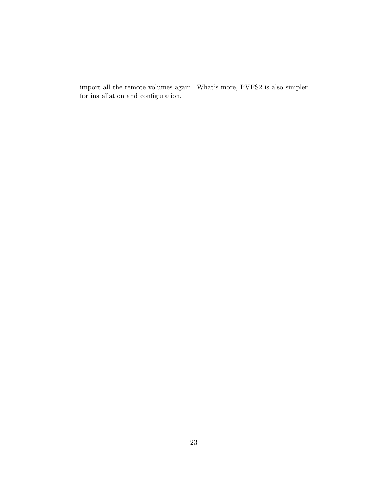import all the remote volumes again. What's more, PVFS2 is also simpler for installation and configuration.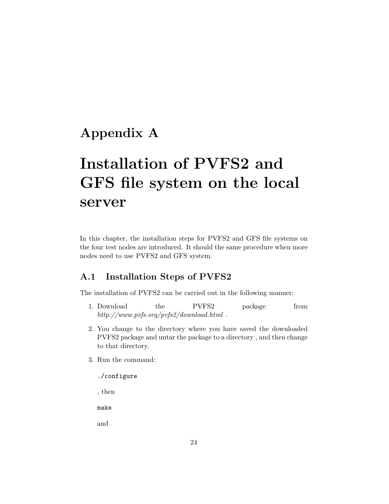## <span id="page-25-0"></span>Appendix A

# Installation of PVFS2 and GFS file system on the local server

In this chapter, the installation steps for PVFS2 and GFS file systems on the four test nodes are introduced. It should the same procedure when more nodes need to use PVFS2 and GFS system.

### <span id="page-25-1"></span>A.1 Installation Steps of PVFS2

The installation of PVFS2 can be carried out in the following manner:

- 1. Download the PVFS2 package from http://www.pvfs.org/pvfs2/download.html .
- 2. You change to the directory where you have saved the downloaded PVFS2 package and untar the package to a directory , and then change to that directory.
- 3. Run the command:

./configure

, then

make

and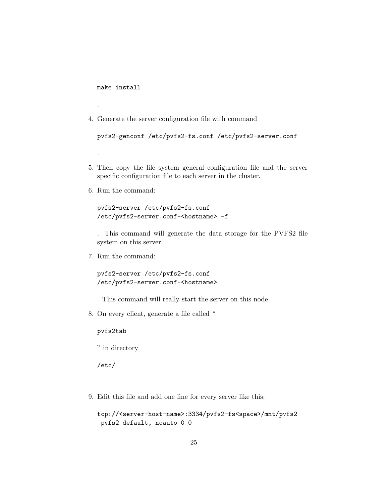make install

.

.

4. Generate the server configuration file with command

```
pvfs2-genconf /etc/pvfs2-fs.conf /etc/pvfs2-server.conf
```
- 5. Then copy the file system general configuration file and the server specific configuration file to each server in the cluster.
- 6. Run the command:

```
pvfs2-server /etc/pvfs2-fs.conf
/etc/pvfs2-server.conf-<hostname> -f
```
. This command will generate the data storage for the PVFS2 file system on this server.

7. Run the command:

pvfs2-server /etc/pvfs2-fs.conf /etc/pvfs2-server.conf-<hostname>

- . This command will really start the server on this node.
- 8. On every client, generate a file called "

pvfs2tab

" in directory

/etc/

.

9. Edit this file and add one line for every server like this:

```
tcp://<server-host-name>:3334/pvfs2-fs<space>/mnt/pvfs2
pvfs2 default, noauto 0 0
```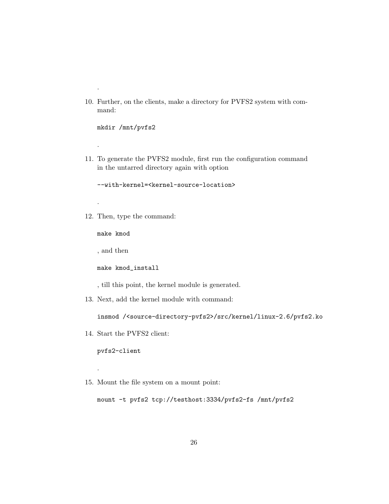10. Further, on the clients, make a directory for PVFS2 system with command:

mkdir /mnt/pvfs2

.

.

.

11. To generate the PVFS2 module, first run the configuration command in the untarred directory again with option

--with-kernel=<kernel-source-location>

12. Then, type the command:

make kmod

, and then

make kmod\_install

, till this point, the kernel module is generated.

13. Next, add the kernel module with command:

insmod /<source-directory-pvfs2>/src/kernel/linux-2.6/pvfs2.ko

14. Start the PVFS2 client:

pvfs2-client

.

15. Mount the file system on a mount point:

mount -t pvfs2 tcp://testhost:3334/pvfs2-fs /mnt/pvfs2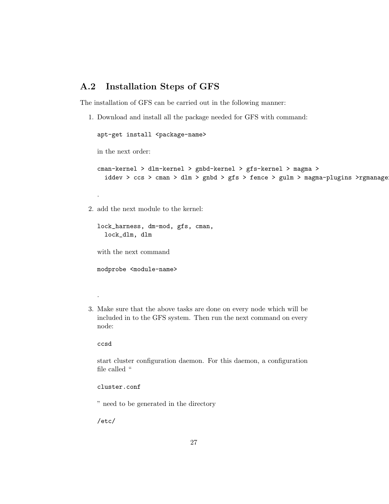### <span id="page-28-0"></span>A.2 Installation Steps of GFS

The installation of GFS can be carried out in the following manner:

1. Download and install all the package needed for GFS with command:

apt-get install <package-name>

in the next order:

.

```
cman-kernel > dlm-kernel > gnbd-kernel > gfs-kernel > magma >
  iddev > ccs > cman > dlm > gnbd > gfs > fence > gulm > magma-plugins >rgmanage
```
2. add the next module to the kernel:

```
lock_harness, dm-mod, gfs, cman,
  lock_dlm, dlm
```
with the next command

modprobe <module-name>

3. Make sure that the above tasks are done on every node which will be included in to the GFS system. Then run the next command on every node:

ccsd

.

start cluster configuration daemon. For this daemon, a configuration file called "

#### cluster.conf

" need to be generated in the directory

/etc/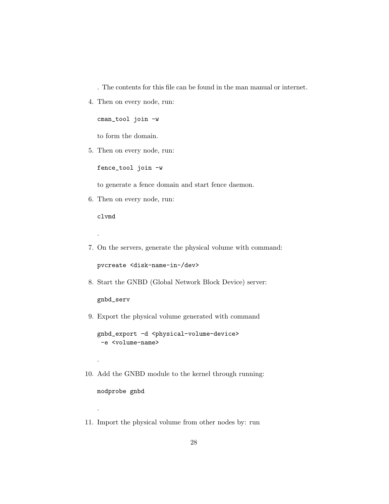. The contents for this file can be found in the man manual or internet.

4. Then on every node, run:

cman\_tool join -w

to form the domain.

5. Then on every node, run:

fence\_tool join -w

to generate a fence domain and start fence daemon.

6. Then on every node, run:

clvmd

.

.

.

7. On the servers, generate the physical volume with command:

pvcreate <disk-name-in-/dev>

8. Start the GNBD (Global Network Block Device) server:

gnbd\_serv

9. Export the physical volume generated with command

gnbd\_export -d <physical-volume-device> -e <volume-name>

10. Add the GNBD module to the kernel through running:

modprobe gnbd

11. Import the physical volume from other nodes by: run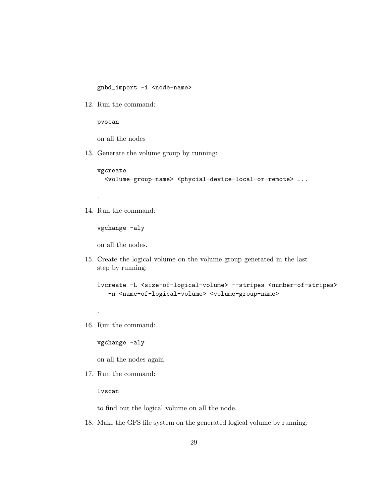gnbd\_import -i <node-name>

12. Run the command:

pvscan

on all the nodes

13. Generate the volume group by running:

vgcreate

.

.

<volume-group-name> <phycial-device-local-or-remote> ...

14. Run the command:

vgchange -aly

on all the nodes.

15. Create the logical volume on the volume group generated in the last step by running:

lvcreate -L <size-of-logical-volume> --stripes <number-of-stripes> -n <name-of-logical-volume> <volume-group-name>

16. Run the command:

vgchange -aly

on all the nodes again.

17. Run the command:

lvscan

to find out the logical volume on all the node.

18. Make the GFS file system on the generated logical volume by running: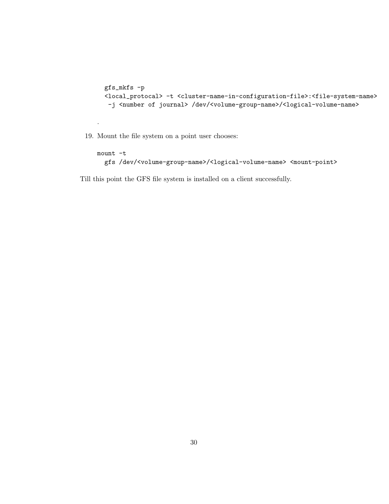```
gfs_mkfs -p
<local_protocal> -t <cluster-name-in-configuration-file>:<file-system-name>
 -j <number of journal> /dev/<volume-group-name>/<logical-volume-name>
```
19. Mount the file system on a point user chooses:

.

```
mount -t
 gfs /dev/<volume-group-name>/<logical-volume-name> <mount-point>
```
Till this point the GFS file system is installed on a client successfully.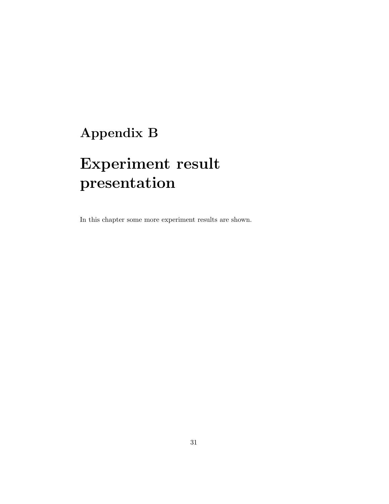# <span id="page-32-0"></span>Appendix B

# Experiment result presentation

In this chapter some more experiment results are shown.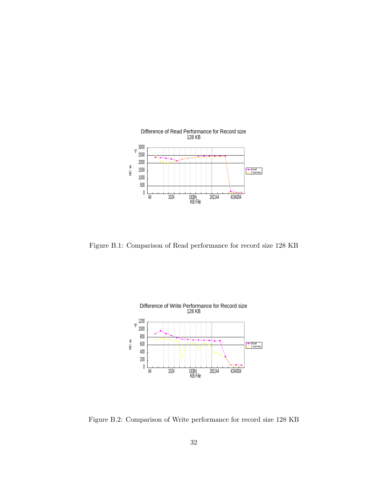

Figure B.1: Comparison of Read performance for record size 128 KB



Figure B.2: Comparison of Write performance for record size 128 KB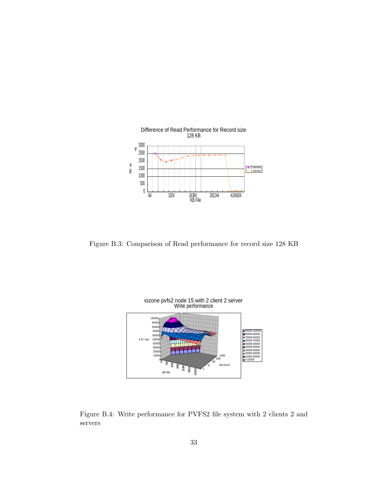

Figure B.3: Comparison of Read performance for record size 128 KB



Figure B.4: Write performance for PVFS2 file system with 2 clients 2 and servers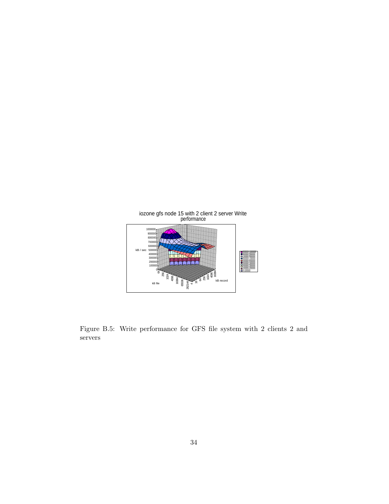

Figure B.5: Write performance for GFS file system with 2 clients 2 and servers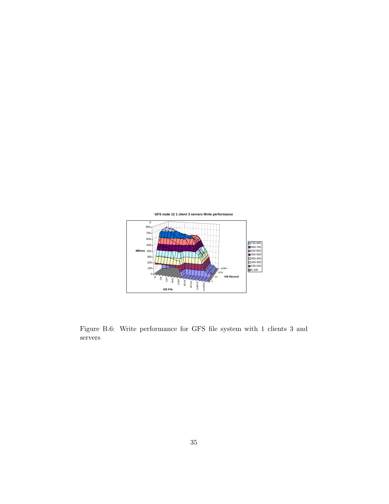

Figure B.6: Write performance for GFS file system with 1 clients 3 and servers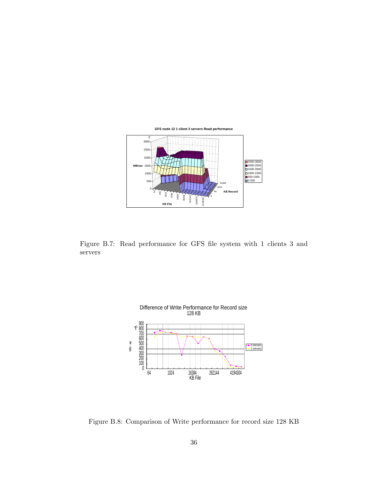

Figure B.7: Read performance for GFS file system with 1 clients 3 and servers



Figure B.8: Comparison of Write performance for record size 128 KB